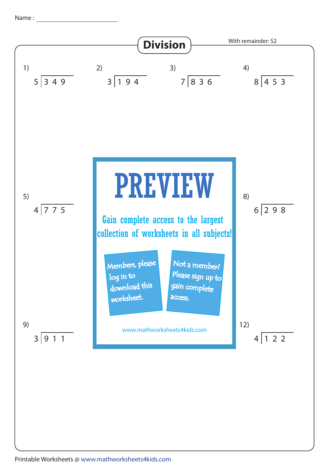